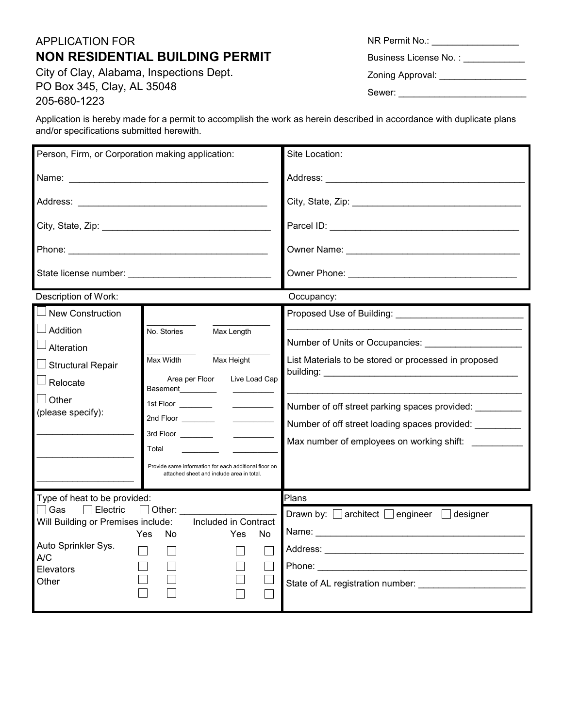## APPLICATION FOR **NON RESIDENTIAL BUILDING PERMIT**

City of Clay, Alabama, Inspections Dept. PO Box 345, Clay, AL 35048 205-680-1223

and/or specifications submitted herewith.

Application is hereby made for a permit to accomplish the work as herein described in accordance with duplicate plans

Person, Firm, or Corporation making application: Site Location: Name: \_\_\_\_\_\_\_\_\_\_\_\_\_\_\_\_\_\_\_\_\_\_\_\_\_\_\_\_\_\_\_\_\_\_\_\_\_\_\_ Address: \_\_\_\_\_\_\_\_\_\_\_\_\_\_\_\_\_\_\_\_\_\_\_\_\_\_\_\_\_\_\_\_\_\_\_\_\_\_\_ Address: \_\_\_\_\_\_\_\_\_\_\_\_\_\_\_\_\_\_\_\_\_\_\_\_\_\_\_\_\_\_\_\_\_\_\_\_\_ City, State, Zip: \_\_\_\_\_\_\_\_\_\_\_\_\_\_\_\_\_\_\_\_\_\_\_\_\_\_\_\_\_\_\_\_\_ City, State, Zip: \_\_\_\_\_\_\_\_\_\_\_\_\_\_\_\_\_\_\_\_\_\_\_\_\_\_\_\_\_\_\_\_\_ Parcel ID: \_\_\_\_\_\_\_\_\_\_\_\_\_\_\_\_\_\_\_\_\_\_\_\_\_\_\_\_\_\_\_\_\_\_\_\_\_ Phone: \_\_\_\_\_\_\_\_\_\_\_\_\_\_\_\_\_\_\_\_\_\_\_\_\_\_\_\_\_\_\_\_\_\_\_\_\_\_\_ Owner Name: \_\_\_\_\_\_\_\_\_\_\_\_\_\_\_\_\_\_\_\_\_\_\_\_\_\_\_\_\_\_\_\_\_\_ State license number: \_\_\_\_\_\_\_\_\_\_\_\_\_\_\_\_\_\_\_\_\_\_\_\_\_\_\_\_ Owner Phone: **Example 20** Description of Work: Contract of Contract of Work:  $\Box$  New Construction Proposed Use of Building: \_\_\_\_\_\_\_\_\_\_\_\_\_\_  $\mathcal{L}_\text{max}$ \_\_\_\_\_\_\_\_\_\_\_\_\_\_\_\_\_\_\_\_\_\_\_\_\_\_\_\_\_\_\_\_\_\_\_\_\_\_\_\_\_\_\_\_\_\_ Addition No. Stories Max Length Number of Units or Occupancies: \_\_\_\_\_\_\_\_\_\_  $\Box$  Alteration  $\mathcal{L}_\text{max}$ Max Width Max Height List Materials to be stored or processed in proposed  $\square$  Structural Repair building: Area per Floor Live Load Cap  $\Box$  Relocate Basement\_\_\_\_\_\_\_\_\_ \_\_\_\_\_\_\_\_\_\_\_\_\_\_\_\_\_\_\_\_\_\_\_\_\_\_\_\_\_\_\_\_\_\_\_\_\_\_\_\_\_\_\_\_\_\_  $\Box$  Other 1st Floor \_\_\_\_\_\_\_\_ \_\_\_\_\_\_\_\_\_\_ Number of off street parking spaces provided: \_\_\_\_\_\_\_\_\_ (please specify): 2nd Floor Number of off street loading spaces provided: \_\_\_\_\_\_\_\_\_ 3rd Floor Max number of employees on working shift: Total \_\_\_\_\_\_\_\_\_ \_\_\_\_\_\_\_\_\_\_\_ \_\_\_\_\_\_\_\_\_\_\_\_\_\_\_\_\_\_\_ Provide same information for each additional floor on attached sheet and include area in total. Type of heat to be provided: Plans $\Box$  Gas  $\Box$  Electric  $\Box$  Other: Drawn by:  $\Box$  architect  $\Box$  engineer  $\Box$  designer Will Building or Premises include: Included in Contract Name: Yes No Yes No Auto Sprinkler Sys. Address: \_\_\_\_\_\_\_\_\_\_\_\_\_\_\_\_\_\_\_\_\_\_\_\_\_\_\_\_\_\_\_\_\_\_\_\_\_\_\_  $\Box$  $\Box$  $\Box$  $\Box$ A/C  $\Box$  $\Box$  $\Box$ Phone:  $\Box$ **Elevators**  $\Box$  $\Box$  $\Box$  $\Box$ **Other** State of AL registration number: \_\_\_\_\_\_\_\_\_\_\_\_\_\_\_\_\_\_\_\_\_  $\Box$  $\Box$  $\Box$ П

NR Permit No.: Business License No. : \_\_\_\_\_\_\_\_\_\_\_\_\_

Zoning Approval: \_\_\_\_\_\_\_\_\_\_\_\_\_\_\_\_\_

Sewer: